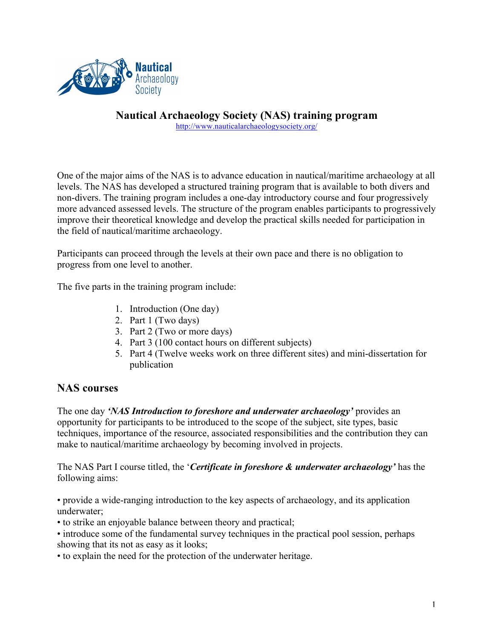

**Nautical Archaeology Society (NAS) training program** http://www.nauticalarchaeologysociety.org/

One of the major aims of the NAS is to advance education in nautical/maritime archaeology at all levels. The NAS has developed a structured training program that is available to both divers and non-divers. The training program includes a one-day introductory course and four progressively more advanced assessed levels. The structure of the program enables participants to progressively improve their theoretical knowledge and develop the practical skills needed for participation in the field of nautical/maritime archaeology.

Participants can proceed through the levels at their own pace and there is no obligation to progress from one level to another.

The five parts in the training program include:

- 1. Introduction (One day)
- 2. Part 1 (Two days)
- 3. Part 2 (Two or more days)
- 4. Part 3 (100 contact hours on different subjects)
- 5. Part 4 (Twelve weeks work on three different sites) and mini-dissertation for publication

## **NAS courses**

The one day *'NAS Introduction to foreshore and underwater archaeology'* provides an opportunity for participants to be introduced to the scope of the subject, site types, basic techniques, importance of the resource, associated responsibilities and the contribution they can make to nautical/maritime archaeology by becoming involved in projects.

The NAS Part I course titled, the '*Certificate in foreshore & underwater archaeology'* has the following aims:

• provide a wide-ranging introduction to the key aspects of archaeology, and its application underwater;

- to strike an enjoyable balance between theory and practical;
- introduce some of the fundamental survey techniques in the practical pool session, perhaps showing that its not as easy as it looks;
- to explain the need for the protection of the underwater heritage.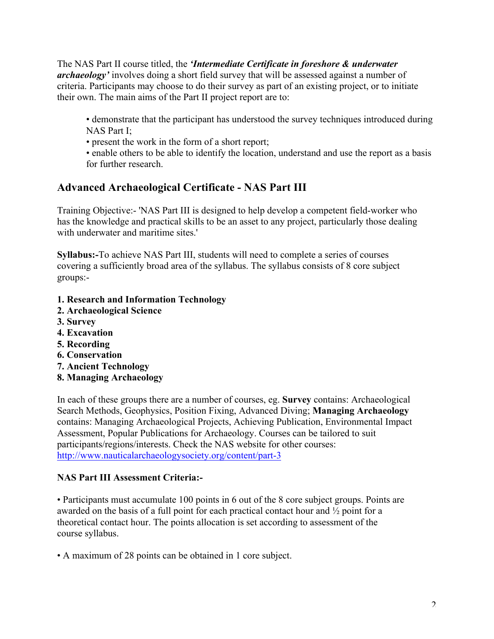The NAS Part II course titled, the *'Intermediate Certificate in foreshore & underwater archaeology'* involves doing a short field survey that will be assessed against a number of criteria. Participants may choose to do their survey as part of an existing project, or to initiate their own. The main aims of the Part II project report are to:

• demonstrate that the participant has understood the survey techniques introduced during NAS Part I;

- present the work in the form of a short report;
- enable others to be able to identify the location, understand and use the report as a basis for further research.

## **Advanced Archaeological Certificate - NAS Part III**

Training Objective:- 'NAS Part III is designed to help develop a competent field-worker who has the knowledge and practical skills to be an asset to any project, particularly those dealing with underwater and maritime sites.'

**Syllabus:-**To achieve NAS Part III, students will need to complete a series of courses covering a sufficiently broad area of the syllabus. The syllabus consists of 8 core subject groups:-

- **1. Research and Information Technology**
- **2. Archaeological Science**
- **3. Survey**
- **4. Excavation**
- **5. Recording**
- **6. Conservation**
- **7. Ancient Technology**
- **8. Managing Archaeology**

In each of these groups there are a number of courses, eg. **Survey** contains: Archaeological Search Methods, Geophysics, Position Fixing, Advanced Diving; **Managing Archaeology** contains: Managing Archaeological Projects, Achieving Publication, Environmental Impact Assessment, Popular Publications for Archaeology. Courses can be tailored to suit participants/regions/interests. Check the NAS website for other courses: http://www.nauticalarchaeologysociety.org/content/part-3

## **NAS Part III Assessment Criteria:-**

• Participants must accumulate 100 points in 6 out of the 8 core subject groups. Points are awarded on the basis of a full point for each practical contact hour and ½ point for a theoretical contact hour. The points allocation is set according to assessment of the course syllabus.

• A maximum of 28 points can be obtained in 1 core subject.